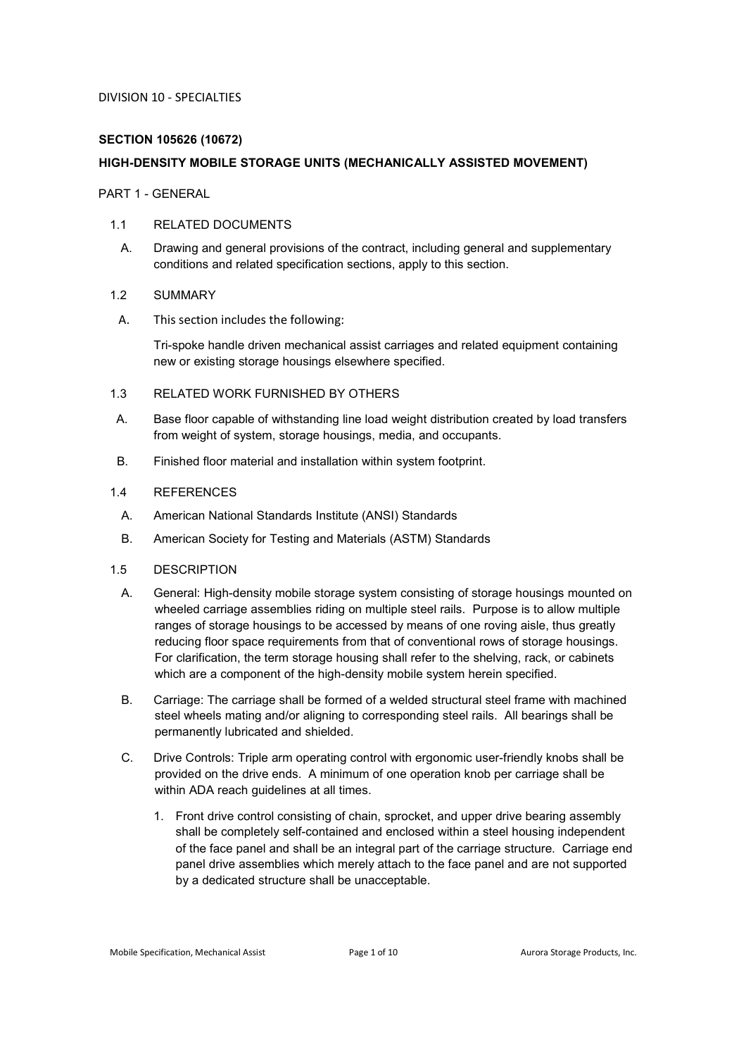# **SECTION 105626 (10672)**

# **HIGH-DENSITY MOBILE STORAGE UNITS (MECHANICALLY ASSISTED MOVEMENT)**

PART 1 - GENERAL

### 1.1 RELATED DOCUMENTS

A. Drawing and general provisions of the contract, including general and supplementary conditions and related specification sections, apply to this section.

# 1.2 SUMMARY

A. This section includes the following:

Tri-spoke handle driven mechanical assist carriages and related equipment containing new or existing storage housings elsewhere specified.

### 1.3 RELATED WORK FURNISHED BY OTHERS

- A. Base floor capable of withstanding line load weight distribution created by load transfers from weight of system, storage housings, media, and occupants.
- B. Finished floor material and installation within system footprint.

# 1.4 REFERENCES

- A. American National Standards Institute (ANSI) Standards
- B. American Society for Testing and Materials (ASTM) Standards

# 1.5 DESCRIPTION

- A. General: High-density mobile storage system consisting of storage housings mounted on wheeled carriage assemblies riding on multiple steel rails. Purpose is to allow multiple ranges of storage housings to be accessed by means of one roving aisle, thus greatly reducing floor space requirements from that of conventional rows of storage housings. For clarification, the term storage housing shall refer to the shelving, rack, or cabinets which are a component of the high-density mobile system herein specified.
- B. Carriage: The carriage shall be formed of a welded structural steel frame with machined steel wheels mating and/or aligning to corresponding steel rails. All bearings shall be permanently lubricated and shielded.
- C. Drive Controls: Triple arm operating control with ergonomic user-friendly knobs shall be provided on the drive ends. A minimum of one operation knob per carriage shall be within ADA reach guidelines at all times.
	- 1. Front drive control consisting of chain, sprocket, and upper drive bearing assembly shall be completely self-contained and enclosed within a steel housing independent of the face panel and shall be an integral part of the carriage structure. Carriage end panel drive assemblies which merely attach to the face panel and are not supported by a dedicated structure shall be unacceptable.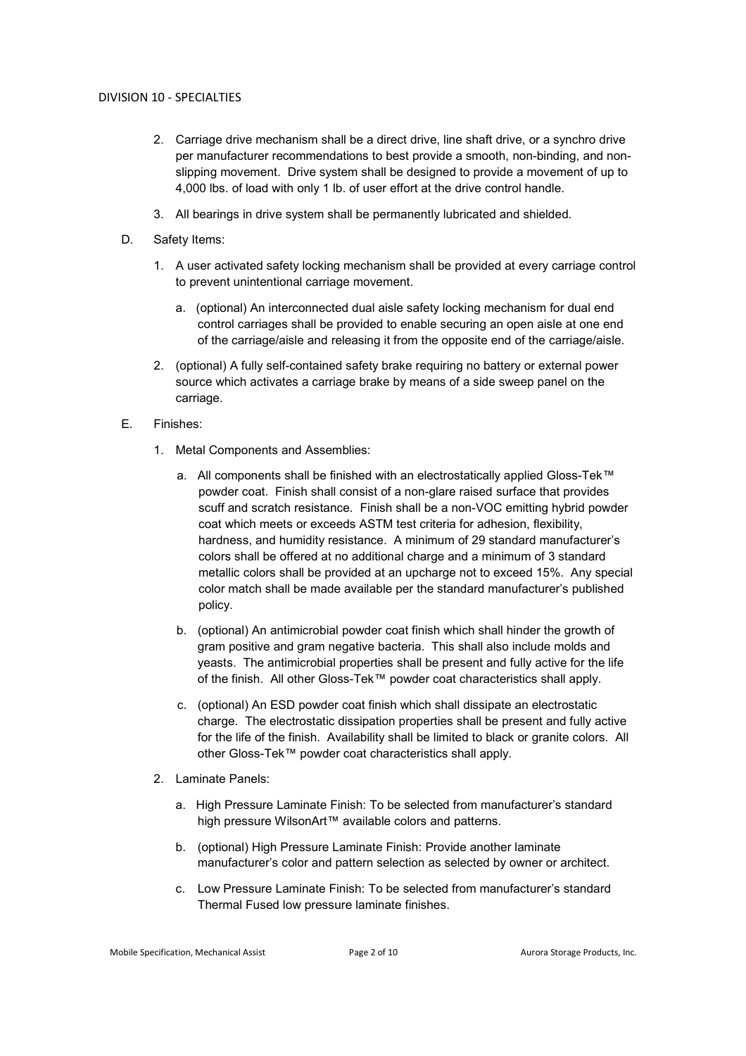- 2. Carriage drive mechanism shall be a direct drive, line shaft drive, or a synchro drive per manufacturer recommendations to best provide a smooth, non-binding, and nonslipping movement. Drive system shall be designed to provide a movement of up to 4,000 lbs. of load with only 1 lb. of user effort at the drive control handle.
- 3. All bearings in drive system shall be permanently lubricated and shielded.
- D. Safety Items:
	- 1. A user activated safety locking mechanism shall be provided at every carriage control to prevent unintentional carriage movement.
		- a. (optional) An interconnected dual aisle safety locking mechanism for dual end control carriages shall be provided to enable securing an open aisle at one end of the carriage/aisle and releasing it from the opposite end of the carriage/aisle.
	- 2. (optional) A fully self-contained safety brake requiring no battery or external power source which activates a carriage brake by means of a side sweep panel on the carriage.
- E. Finishes:
	- 1. Metal Components and Assemblies:
		- a. All components shall be finished with an electrostatically applied Gloss-Tek™ powder coat. Finish shall consist of a non-glare raised surface that provides scuff and scratch resistance. Finish shall be a non-VOC emitting hybrid powder coat which meets or exceeds ASTM test criteria for adhesion, flexibility, hardness, and humidity resistance. A minimum of 29 standard manufacturer's colors shall be offered at no additional charge and a minimum of 3 standard metallic colors shall be provided at an upcharge not to exceed 15%. Any special color match shall be made available per the standard manufacturer's published policy.
		- b. (optional) An antimicrobial powder coat finish which shall hinder the growth of gram positive and gram negative bacteria. This shall also include molds and yeasts. The antimicrobial properties shall be present and fully active for the life of the finish. All other Gloss-Tek™ powder coat characteristics shall apply.
		- c. (optional) An ESD powder coat finish which shall dissipate an electrostatic charge. The electrostatic dissipation properties shall be present and fully active for the life of the finish. Availability shall be limited to black or granite colors. All other Gloss-Tek™ powder coat characteristics shall apply.
	- 2. Laminate Panels:
		- a. High Pressure Laminate Finish: To be selected from manufacturer's standard high pressure WilsonArt™ available colors and patterns.
		- b. (optional) High Pressure Laminate Finish: Provide another laminate manufacturer's color and pattern selection as selected by owner or architect.
		- c. Low Pressure Laminate Finish: To be selected from manufacturer's standard Thermal Fused low pressure laminate finishes.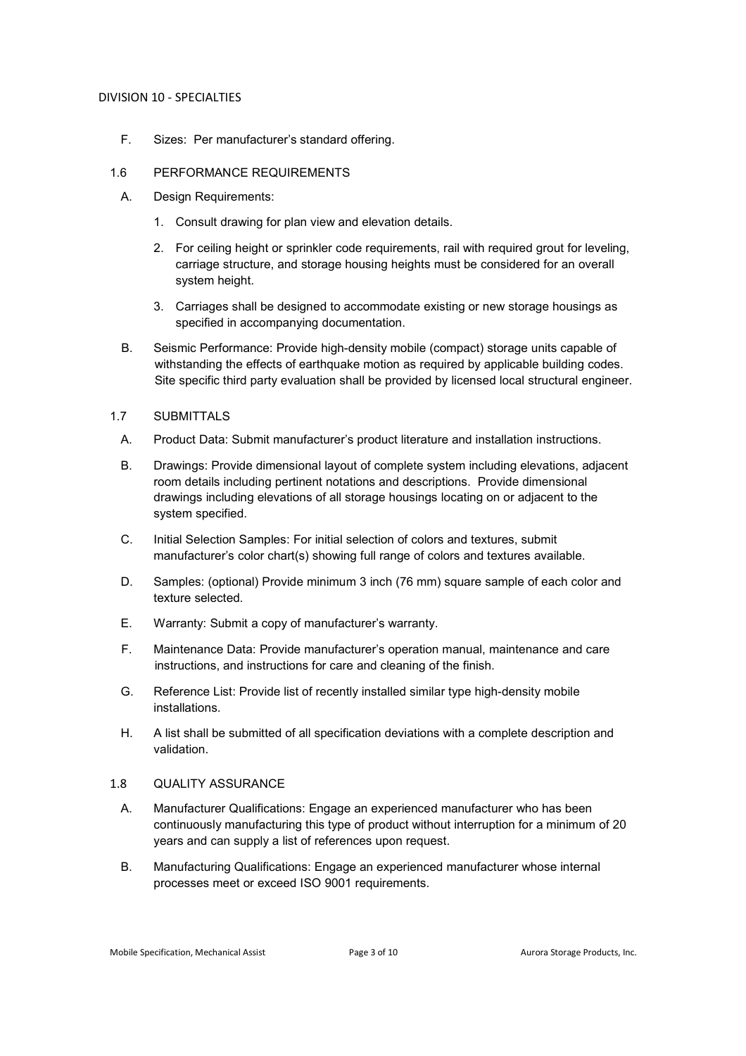F. Sizes: Per manufacturer's standard offering.

### 1.6 PERFORMANCE REQUIREMENTS

- A. Design Requirements:
	- 1. Consult drawing for plan view and elevation details.
	- 2. For ceiling height or sprinkler code requirements, rail with required grout for leveling, carriage structure, and storage housing heights must be considered for an overall system height.
	- 3. Carriages shall be designed to accommodate existing or new storage housings as specified in accompanying documentation.
- B. Seismic Performance: Provide high-density mobile (compact) storage units capable of withstanding the effects of earthquake motion as required by applicable building codes. Site specific third party evaluation shall be provided by licensed local structural engineer.

# 1.7 SUBMITTALS

- A. Product Data: Submit manufacturer's product literature and installation instructions.
- B. Drawings: Provide dimensional layout of complete system including elevations, adjacent room details including pertinent notations and descriptions. Provide dimensional drawings including elevations of all storage housings locating on or adjacent to the system specified.
- C. Initial Selection Samples: For initial selection of colors and textures, submit manufacturer's color chart(s) showing full range of colors and textures available.
- D. Samples: (optional) Provide minimum 3 inch (76 mm) square sample of each color and texture selected.
- E. Warranty: Submit a copy of manufacturer's warranty.
- F. Maintenance Data: Provide manufacturer's operation manual, maintenance and care instructions, and instructions for care and cleaning of the finish.
- G. Reference List: Provide list of recently installed similar type high-density mobile installations.
- H. A list shall be submitted of all specification deviations with a complete description and validation.

# 1.8 QUALITY ASSURANCE

- A. Manufacturer Qualifications: Engage an experienced manufacturer who has been continuously manufacturing this type of product without interruption for a minimum of 20 years and can supply a list of references upon request.
- B. Manufacturing Qualifications: Engage an experienced manufacturer whose internal processes meet or exceed ISO 9001 requirements.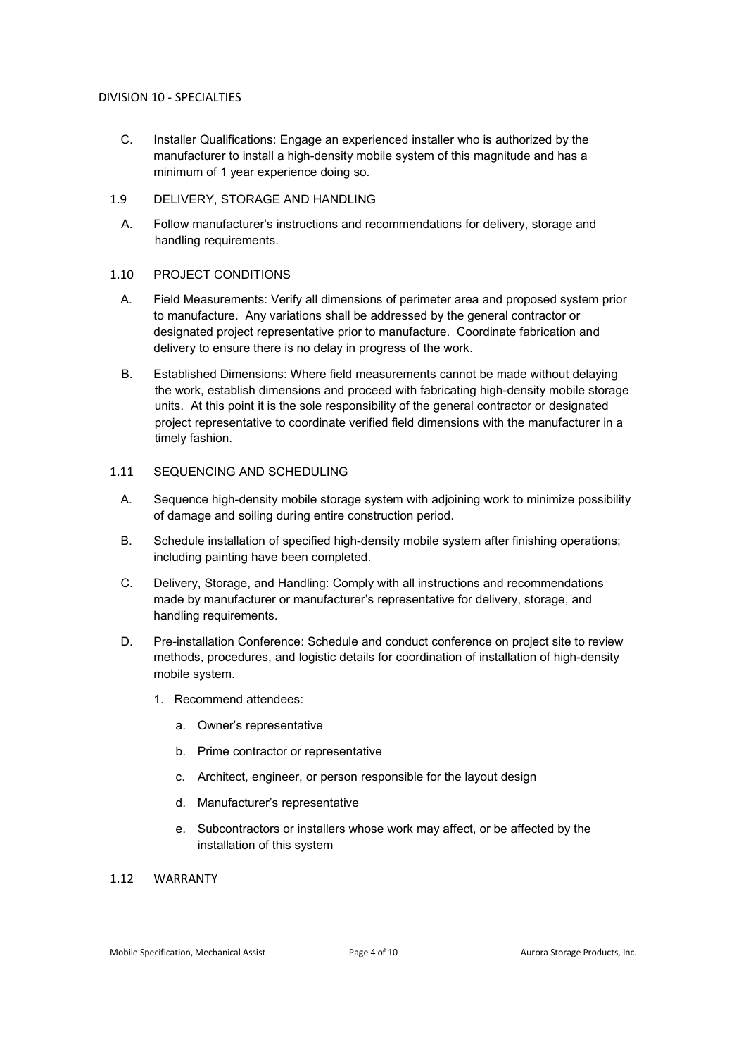- C. Installer Qualifications: Engage an experienced installer who is authorized by the manufacturer to install a high-density mobile system of this magnitude and has a minimum of 1 year experience doing so.
- 1.9 DELIVERY, STORAGE AND HANDLING
	- A. Follow manufacturer's instructions and recommendations for delivery, storage and handling requirements.

# 1.10 PROJECT CONDITIONS

- A. Field Measurements: Verify all dimensions of perimeter area and proposed system prior to manufacture. Any variations shall be addressed by the general contractor or designated project representative prior to manufacture. Coordinate fabrication and delivery to ensure there is no delay in progress of the work.
- B. Established Dimensions: Where field measurements cannot be made without delaying the work, establish dimensions and proceed with fabricating high-density mobile storage units. At this point it is the sole responsibility of the general contractor or designated project representative to coordinate verified field dimensions with the manufacturer in a timely fashion.

# 1.11 SEQUENCING AND SCHEDULING

- A. Sequence high-density mobile storage system with adjoining work to minimize possibility of damage and soiling during entire construction period.
- B. Schedule installation of specified high-density mobile system after finishing operations; including painting have been completed.
- C. Delivery, Storage, and Handling: Comply with all instructions and recommendations made by manufacturer or manufacturer's representative for delivery, storage, and handling requirements.
- D. Pre-installation Conference: Schedule and conduct conference on project site to review methods, procedures, and logistic details for coordination of installation of high-density mobile system.
	- 1. Recommend attendees:
		- a. Owner's representative
		- b. Prime contractor or representative
		- c. Architect, engineer, or person responsible for the layout design
		- d. Manufacturer's representative
		- e. Subcontractors or installers whose work may affect, or be affected by the installation of this system

# 1.12 WARRANTY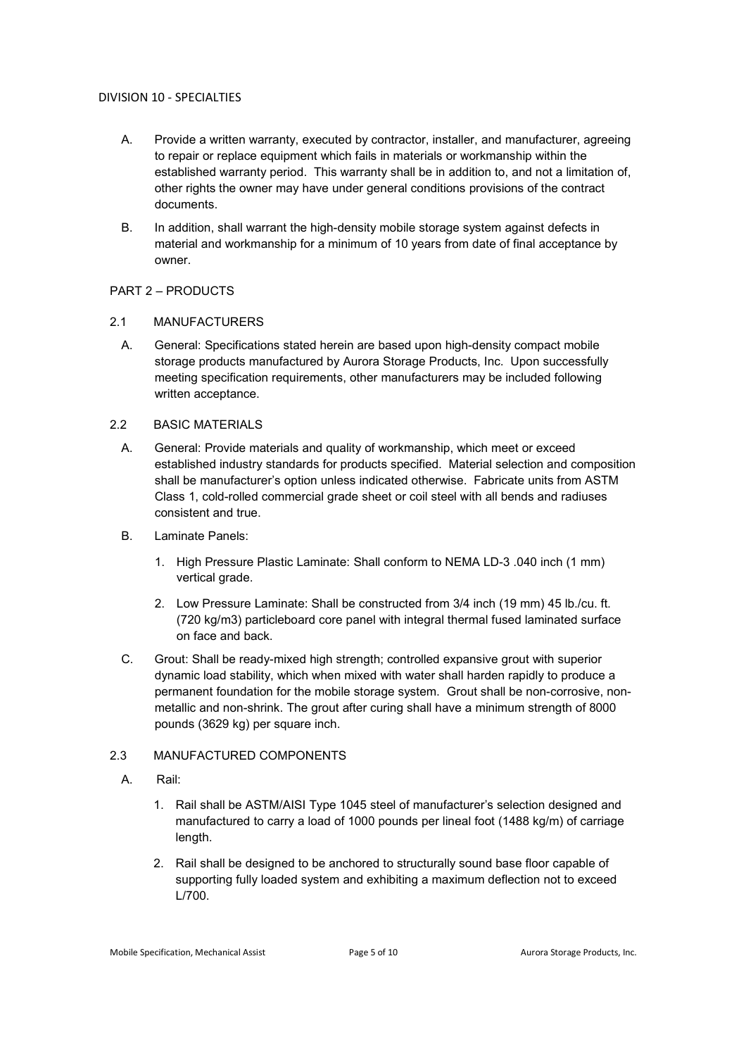- A. Provide a written warranty, executed by contractor, installer, and manufacturer, agreeing to repair or replace equipment which fails in materials or workmanship within the established warranty period. This warranty shall be in addition to, and not a limitation of, other rights the owner may have under general conditions provisions of the contract documents.
- B. In addition, shall warrant the high-density mobile storage system against defects in material and workmanship for a minimum of 10 years from date of final acceptance by owner.

# PART 2 – PRODUCTS

# 2.1 MANUFACTURERS

A. General: Specifications stated herein are based upon high-density compact mobile storage products manufactured by Aurora Storage Products, Inc. Upon successfully meeting specification requirements, other manufacturers may be included following written acceptance.

# 2.2 BASIC MATERIALS

- A. General: Provide materials and quality of workmanship, which meet or exceed established industry standards for products specified. Material selection and composition shall be manufacturer's option unless indicated otherwise. Fabricate units from ASTM Class 1, cold-rolled commercial grade sheet or coil steel with all bends and radiuses consistent and true.
- B. Laminate Panels:
	- 1. High Pressure Plastic Laminate: Shall conform to NEMA LD-3 .040 inch (1 mm) vertical grade.
	- 2. Low Pressure Laminate: Shall be constructed from 3/4 inch (19 mm) 45 lb./cu. ft. (720 kg/m3) particleboard core panel with integral thermal fused laminated surface on face and back.
- C. Grout: Shall be ready-mixed high strength; controlled expansive grout with superior dynamic load stability, which when mixed with water shall harden rapidly to produce a permanent foundation for the mobile storage system. Grout shall be non-corrosive, nonmetallic and non-shrink. The grout after curing shall have a minimum strength of 8000 pounds (3629 kg) per square inch.

# 2.3 MANUFACTURED COMPONENTS

- A. Rail:
	- 1. Rail shall be ASTM/AISI Type 1045 steel of manufacturer's selection designed and manufactured to carry a load of 1000 pounds per lineal foot (1488 kg/m) of carriage length.
	- 2. Rail shall be designed to be anchored to structurally sound base floor capable of supporting fully loaded system and exhibiting a maximum deflection not to exceed L/700.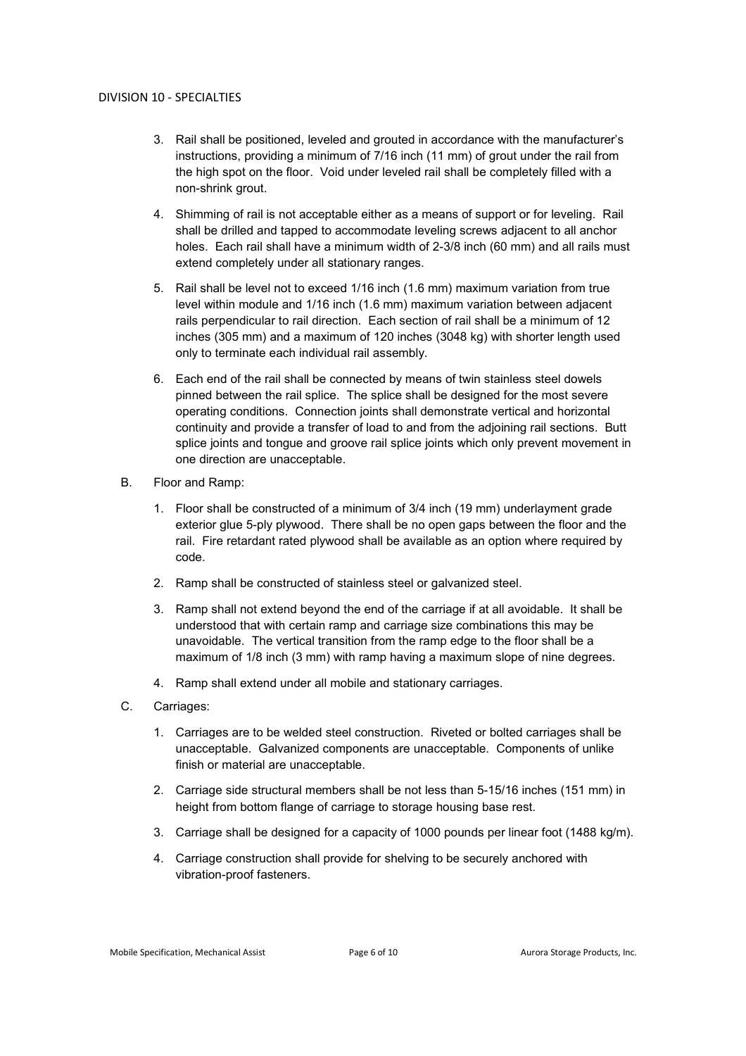- 3. Rail shall be positioned, leveled and grouted in accordance with the manufacturer's instructions, providing a minimum of 7/16 inch (11 mm) of grout under the rail from the high spot on the floor. Void under leveled rail shall be completely filled with a non-shrink grout.
- 4. Shimming of rail is not acceptable either as a means of support or for leveling. Rail shall be drilled and tapped to accommodate leveling screws adjacent to all anchor holes. Each rail shall have a minimum width of 2-3/8 inch (60 mm) and all rails must extend completely under all stationary ranges.
- 5. Rail shall be level not to exceed 1/16 inch (1.6 mm) maximum variation from true level within module and 1/16 inch (1.6 mm) maximum variation between adjacent rails perpendicular to rail direction. Each section of rail shall be a minimum of 12 inches (305 mm) and a maximum of 120 inches (3048 kg) with shorter length used only to terminate each individual rail assembly.
- 6. Each end of the rail shall be connected by means of twin stainless steel dowels pinned between the rail splice. The splice shall be designed for the most severe operating conditions. Connection joints shall demonstrate vertical and horizontal continuity and provide a transfer of load to and from the adjoining rail sections. Butt splice joints and tongue and groove rail splice joints which only prevent movement in one direction are unacceptable.
- B. Floor and Ramp:
	- 1. Floor shall be constructed of a minimum of 3/4 inch (19 mm) underlayment grade exterior glue 5-ply plywood. There shall be no open gaps between the floor and the rail. Fire retardant rated plywood shall be available as an option where required by code.
	- 2. Ramp shall be constructed of stainless steel or galvanized steel.
	- 3. Ramp shall not extend beyond the end of the carriage if at all avoidable. It shall be understood that with certain ramp and carriage size combinations this may be unavoidable. The vertical transition from the ramp edge to the floor shall be a maximum of 1/8 inch (3 mm) with ramp having a maximum slope of nine degrees.
	- 4. Ramp shall extend under all mobile and stationary carriages.
- C. Carriages:
	- 1. Carriages are to be welded steel construction. Riveted or bolted carriages shall be unacceptable. Galvanized components are unacceptable. Components of unlike finish or material are unacceptable.
	- 2. Carriage side structural members shall be not less than 5-15/16 inches (151 mm) in height from bottom flange of carriage to storage housing base rest.
	- 3. Carriage shall be designed for a capacity of 1000 pounds per linear foot (1488 kg/m).
	- 4. Carriage construction shall provide for shelving to be securely anchored with vibration-proof fasteners.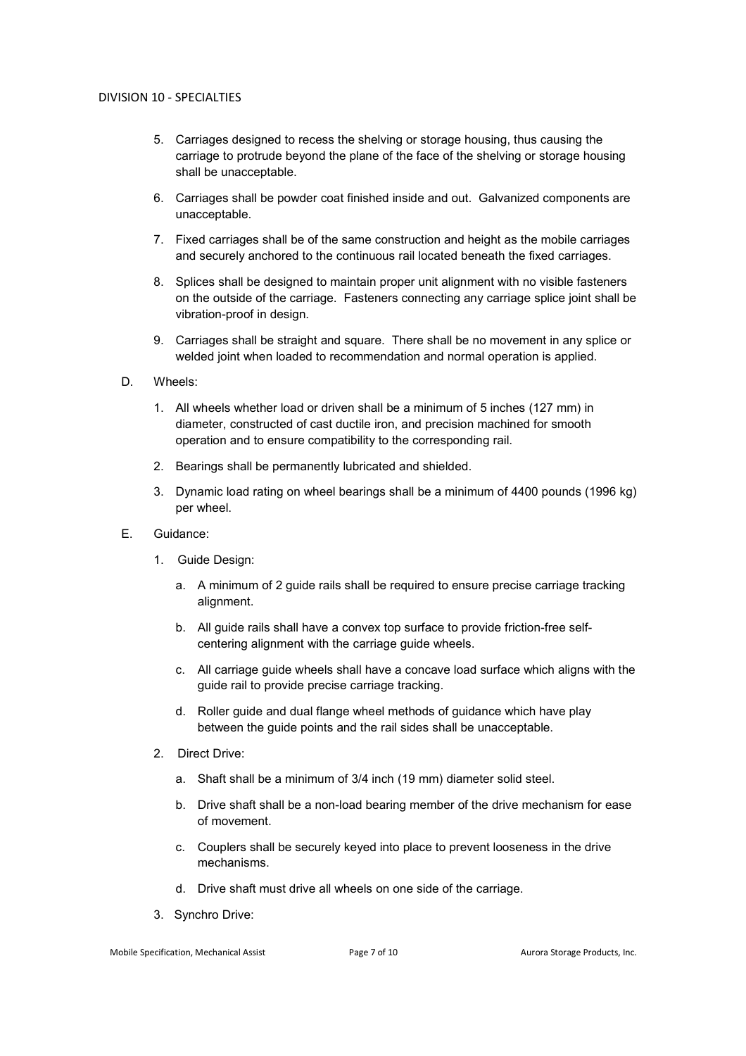- 5. Carriages designed to recess the shelving or storage housing, thus causing the carriage to protrude beyond the plane of the face of the shelving or storage housing shall be unacceptable.
- 6. Carriages shall be powder coat finished inside and out. Galvanized components are unacceptable.
- 7. Fixed carriages shall be of the same construction and height as the mobile carriages and securely anchored to the continuous rail located beneath the fixed carriages.
- 8. Splices shall be designed to maintain proper unit alignment with no visible fasteners on the outside of the carriage. Fasteners connecting any carriage splice joint shall be vibration-proof in design.
- 9. Carriages shall be straight and square. There shall be no movement in any splice or welded joint when loaded to recommendation and normal operation is applied.
- D. Wheels:
	- 1. All wheels whether load or driven shall be a minimum of 5 inches (127 mm) in diameter, constructed of cast ductile iron, and precision machined for smooth operation and to ensure compatibility to the corresponding rail.
	- 2. Bearings shall be permanently lubricated and shielded.
	- 3. Dynamic load rating on wheel bearings shall be a minimum of 4400 pounds (1996 kg) per wheel.
- E. Guidance:
	- 1. Guide Design:
		- a. A minimum of 2 guide rails shall be required to ensure precise carriage tracking alignment.
		- b. All guide rails shall have a convex top surface to provide friction-free selfcentering alignment with the carriage guide wheels.
		- c. All carriage guide wheels shall have a concave load surface which aligns with the guide rail to provide precise carriage tracking.
		- d. Roller guide and dual flange wheel methods of guidance which have play between the guide points and the rail sides shall be unacceptable.
	- 2. Direct Drive:
		- a. Shaft shall be a minimum of 3/4 inch (19 mm) diameter solid steel.
		- b. Drive shaft shall be a non-load bearing member of the drive mechanism for ease of movement.
		- c. Couplers shall be securely keyed into place to prevent looseness in the drive mechanisms.
		- d. Drive shaft must drive all wheels on one side of the carriage.
	- 3. Synchro Drive: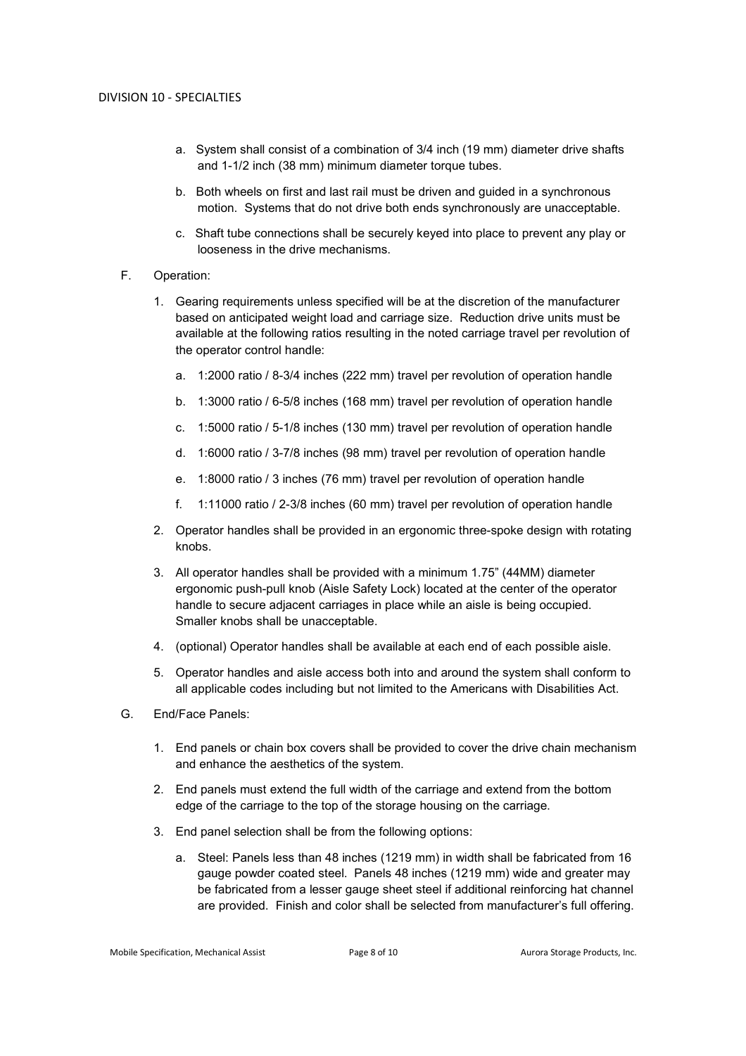- a. System shall consist of a combination of 3/4 inch (19 mm) diameter drive shafts and 1-1/2 inch (38 mm) minimum diameter torque tubes.
- b. Both wheels on first and last rail must be driven and guided in a synchronous motion. Systems that do not drive both ends synchronously are unacceptable.
- c. Shaft tube connections shall be securely keyed into place to prevent any play or looseness in the drive mechanisms.
- F. Operation:
	- 1. Gearing requirements unless specified will be at the discretion of the manufacturer based on anticipated weight load and carriage size. Reduction drive units must be available at the following ratios resulting in the noted carriage travel per revolution of the operator control handle:
		- a. 1:2000 ratio / 8-3/4 inches (222 mm) travel per revolution of operation handle
		- b. 1:3000 ratio / 6-5/8 inches (168 mm) travel per revolution of operation handle
		- c. 1:5000 ratio / 5-1/8 inches (130 mm) travel per revolution of operation handle
		- d. 1:6000 ratio / 3-7/8 inches (98 mm) travel per revolution of operation handle
		- e. 1:8000 ratio / 3 inches (76 mm) travel per revolution of operation handle
		- f. 1:11000 ratio / 2-3/8 inches (60 mm) travel per revolution of operation handle
	- 2. Operator handles shall be provided in an ergonomic three-spoke design with rotating knobs.
	- 3. All operator handles shall be provided with a minimum 1.75" (44MM) diameter ergonomic push-pull knob (Aisle Safety Lock) located at the center of the operator handle to secure adjacent carriages in place while an aisle is being occupied. Smaller knobs shall be unacceptable.
	- 4. (optional) Operator handles shall be available at each end of each possible aisle.
	- 5. Operator handles and aisle access both into and around the system shall conform to all applicable codes including but not limited to the Americans with Disabilities Act.
- G. End/Face Panels:
	- 1. End panels or chain box covers shall be provided to cover the drive chain mechanism and enhance the aesthetics of the system.
	- 2. End panels must extend the full width of the carriage and extend from the bottom edge of the carriage to the top of the storage housing on the carriage.
	- 3. End panel selection shall be from the following options:
		- a. Steel: Panels less than 48 inches (1219 mm) in width shall be fabricated from 16 gauge powder coated steel. Panels 48 inches (1219 mm) wide and greater may be fabricated from a lesser gauge sheet steel if additional reinforcing hat channel are provided. Finish and color shall be selected from manufacturer's full offering.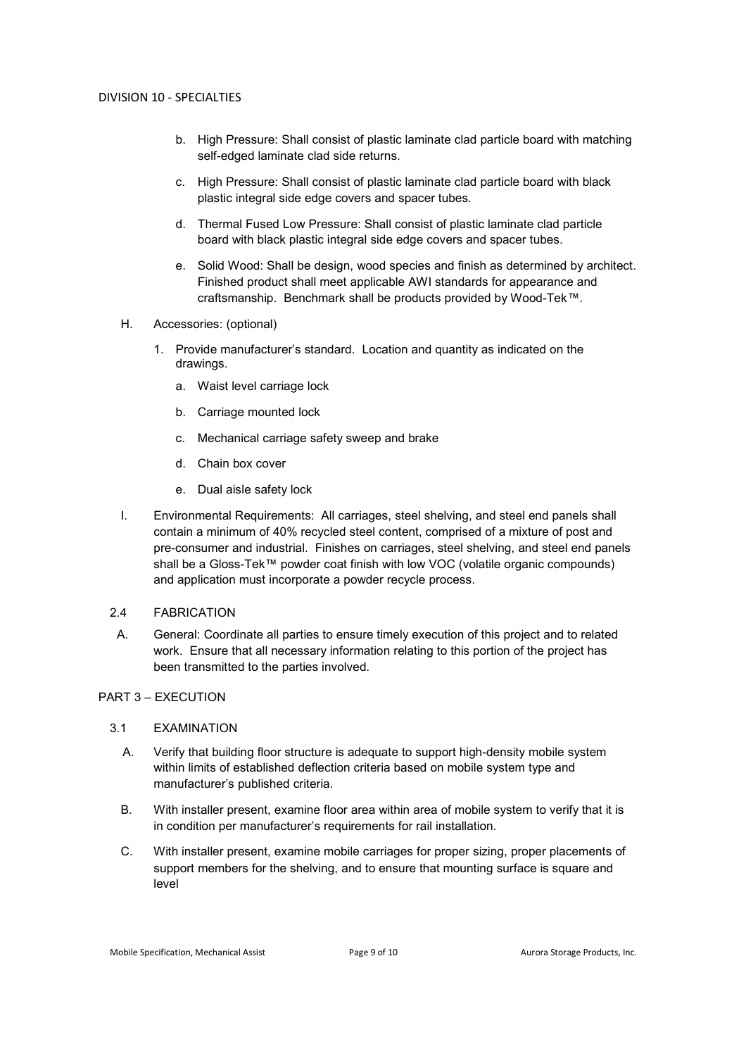- b. High Pressure: Shall consist of plastic laminate clad particle board with matching self-edged laminate clad side returns.
- c. High Pressure: Shall consist of plastic laminate clad particle board with black plastic integral side edge covers and spacer tubes.
- d. Thermal Fused Low Pressure: Shall consist of plastic laminate clad particle board with black plastic integral side edge covers and spacer tubes.
- e. Solid Wood: Shall be design, wood species and finish as determined by architect. Finished product shall meet applicable AWI standards for appearance and craftsmanship. Benchmark shall be products provided by Wood-Tek™.
- H. Accessories: (optional)
	- 1. Provide manufacturer's standard. Location and quantity as indicated on the drawings.
		- a. Waist level carriage lock
		- b. Carriage mounted lock
		- c. Mechanical carriage safety sweep and brake
		- d. Chain box cover
		- e. Dual aisle safety lock
- I. Environmental Requirements: All carriages, steel shelving, and steel end panels shall contain a minimum of 40% recycled steel content, comprised of a mixture of post and pre-consumer and industrial. Finishes on carriages, steel shelving, and steel end panels shall be a Gloss-Tek™ powder coat finish with low VOC (volatile organic compounds) and application must incorporate a powder recycle process.

### 2.4 FABRICATION

A. General: Coordinate all parties to ensure timely execution of this project and to related work. Ensure that all necessary information relating to this portion of the project has been transmitted to the parties involved.

### PART 3 – EXECUTION

### 3.1 EXAMINATION

- A. Verify that building floor structure is adequate to support high-density mobile system within limits of established deflection criteria based on mobile system type and manufacturer's published criteria.
- B. With installer present, examine floor area within area of mobile system to verify that it is in condition per manufacturer's requirements for rail installation.
- C. With installer present, examine mobile carriages for proper sizing, proper placements of support members for the shelving, and to ensure that mounting surface is square and level